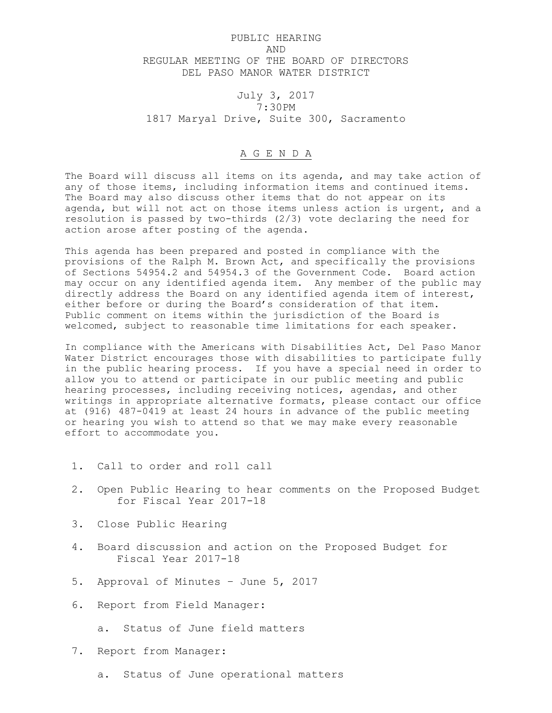## PUBLIC HEARING AND REGULAR MEETING OF THE BOARD OF DIRECTORS DEL PASO MANOR WATER DISTRICT

## July 3, 2017 7:30PM 1817 Maryal Drive, Suite 300, Sacramento

## A G E N D A

The Board will discuss all items on its agenda, and may take action of any of those items, including information items and continued items. The Board may also discuss other items that do not appear on its agenda, but will not act on those items unless action is urgent, and a resolution is passed by two-thirds (2/3) vote declaring the need for action arose after posting of the agenda.

This agenda has been prepared and posted in compliance with the provisions of the Ralph M. Brown Act, and specifically the provisions of Sections 54954.2 and 54954.3 of the Government Code. Board action may occur on any identified agenda item. Any member of the public may directly address the Board on any identified agenda item of interest, either before or during the Board's consideration of that item. Public comment on items within the jurisdiction of the Board is welcomed, subject to reasonable time limitations for each speaker.

In compliance with the Americans with Disabilities Act, Del Paso Manor Water District encourages those with disabilities to participate fully in the public hearing process. If you have a special need in order to allow you to attend or participate in our public meeting and public hearing processes, including receiving notices, agendas, and other writings in appropriate alternative formats, please contact our office at (916) 487-0419 at least 24 hours in advance of the public meeting or hearing you wish to attend so that we may make every reasonable effort to accommodate you.

- 1. Call to order and roll call
- 2. Open Public Hearing to hear comments on the Proposed Budget for Fiscal Year 2017-18
- 3. Close Public Hearing
- 4. Board discussion and action on the Proposed Budget for Fiscal Year 2017-18
- 5. Approval of Minutes June 5, 2017
- 6. Report from Field Manager:
	- a. Status of June field matters
- 7. Report from Manager:
	- a. Status of June operational matters